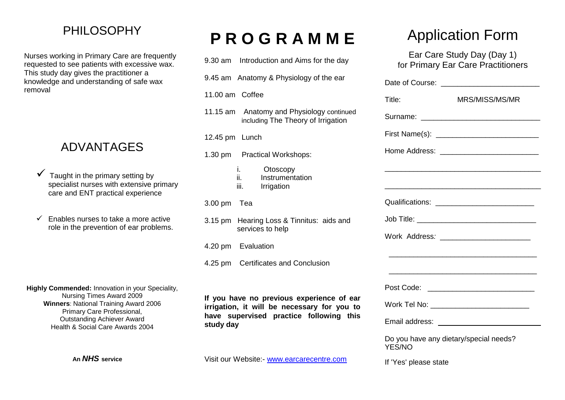## PHILOSOPHY

Nurses working in Primary Care are frequently requested to see patients with excessive wax. This study day gives the practitioner a knowledge and understanding of safe wax removal

## ADVANTAGES

- Taught in the primary setting by specialist nurses with extensive primary care and ENT practical experience
- $\checkmark$  Enables nurses to take a more active role in the prevention of ear problems.

**Highly Commended:** Innovation in your Speciality, Nursing Times Award 2009 **Winners**: National Training Award 2006 Primary Care Professional, Outstanding Achiever Award Health & Social Care Awards 2004

**An** *NHS* **service**

# **P R O G R A M M E**

| 9.30 am Introduction and Aims for the day                                                |          |
|------------------------------------------------------------------------------------------|----------|
| 9.45 am Anatomy & Physiology of the ear                                                  | Da       |
| 11.00 am Coffee                                                                          | Tit      |
| 11.15 am Anatomy and Physiology continued<br>including The Theory of Irrigation          | Sι       |
| 12.45 pm Lunch                                                                           | Fil      |
| 1.30 pm Practical Workshops:                                                             | H        |
| i.<br>Otoscopy<br>ii.<br>Instrumentation<br>iii.<br>Irrigation                           |          |
| $3.00 \text{ pm}$<br>Tea                                                                 | Qι       |
| 3.15 pm Hearing Loss & Tinnitus: aids and<br>services to help                            | Jo<br>W  |
| 4.20 pm Evaluation                                                                       |          |
| 4.25 pm Certificates and Conclusion                                                      |          |
|                                                                                          | P        |
| If you have no previous experience of ear<br>irrigation, it will be necessary for you to | W        |
| have supervised practice following this<br>study day                                     | Er       |
|                                                                                          | D.<br>ΥI |

Visit our Website:- [www.earcarecentre.com](http://www.earcarecentre.com/)

# Application Form

Ear Care Study Day (Day 1) for Primary Ear Care Practitioners

| Title:                                           | MRS/MISS/MS/MR                            |
|--------------------------------------------------|-------------------------------------------|
|                                                  |                                           |
|                                                  |                                           |
|                                                  |                                           |
|                                                  |                                           |
|                                                  |                                           |
|                                                  |                                           |
|                                                  |                                           |
|                                                  |                                           |
|                                                  |                                           |
|                                                  |                                           |
|                                                  | Post Code: ______________________________ |
|                                                  | Work Tel No: ____________________________ |
|                                                  |                                           |
| Do you have any dietary/special needs?<br>YES/NO |                                           |

If 'Yes' please state